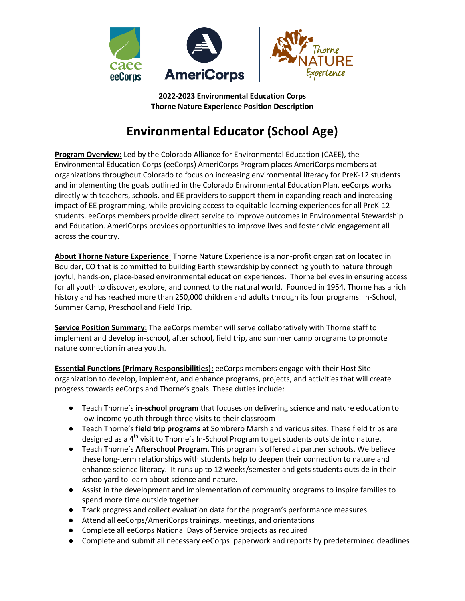

**2022-2023 Environmental Education Corps Thorne Nature Experience Position Description**

# **Environmental Educator (School Age)**

**Program Overview:** Led by the Colorado Alliance for Environmental Education (CAEE), the Environmental Education Corps (eeCorps) AmeriCorps Program places AmeriCorps members at organizations throughout Colorado to focus on increasing environmental literacy for PreK-12 students and implementing the goals outlined in the Colorado Environmental Education Plan. eeCorps works directly with teachers, schools, and EE providers to support them in expanding reach and increasing impact of EE programming, while providing access to equitable learning experiences for all PreK-12 students. eeCorps members provide direct service to improve outcomes in Environmental Stewardship and Education. AmeriCorps provides opportunities to improve lives and foster civic engagement all across the country.

**About Thorne Nature Experience**: Thorne Nature Experience is a non-profit organization located in Boulder, CO that is committed to building Earth stewardship by connecting youth to nature through joyful, hands-on, place-based environmental education experiences. Thorne believes in ensuring access for all youth to discover, explore, and connect to the natural world. Founded in 1954, Thorne has a rich history and has reached more than 250,000 children and adults through its four programs: In-School, Summer Camp, Preschool and Field Trip.

**Service Position Summary:** The eeCorps member will serve collaboratively with Thorne staff to implement and develop in-school, after school, field trip, and summer camp programs to promote nature connection in area youth.

**Essential Functions (Primary Responsibilities):** eeCorps members engage with their Host Site organization to develop, implement, and enhance programs, projects, and activities that will create progress towards eeCorps and Thorne's goals. These duties include:

- Teach Thorne's **in-school program** that focuses on delivering science and nature education to low-income youth through three visits to their classroom
- Teach Thorne's **field trip programs** at Sombrero Marsh and various sites. These field trips are designed as a  $4<sup>th</sup>$  visit to Thorne's In-School Program to get students outside into nature.
- Teach Thorne's **Afterschool Program**. This program is offered at partner schools. We believe these long-term relationships with students help to deepen their connection to nature and enhance science literacy. It runs up to 12 weeks/semester and gets students outside in their schoolyard to learn about science and nature.
- Assist in the development and implementation of community programs to inspire families to spend more time outside together
- Track progress and collect evaluation data for the program's performance measures
- Attend all eeCorps/AmeriCorps trainings, meetings, and orientations
- Complete all eeCorps National Days of Service projects as required
- Complete and submit all necessary eeCorps paperwork and reports by predetermined deadlines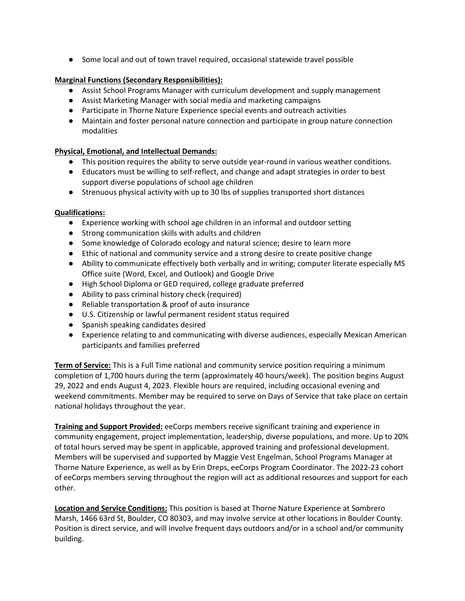● Some local and out of town travel required, occasional statewide travel possible

## **Marginal Functions (Secondary Responsibilities):**

- Assist School Programs Manager with curriculum development and supply management
- Assist Marketing Manager with social media and marketing campaigns
- Participate in Thorne Nature Experience special events and outreach activities
- Maintain and foster personal nature connection and participate in group nature connection modalities

## **Physical, Emotional, and Intellectual Demands:**

- This position requires the ability to serve outside year-round in various weather conditions.
- Educators must be willing to self-reflect, and change and adapt strategies in order to best support diverse populations of school age children
- Strenuous physical activity with up to 30 lbs of supplies transported short distances

#### **Qualifications:**

- Experience working with school age children in an informal and outdoor setting
- Strong communication skills with adults and children
- Some knowledge of Colorado ecology and natural science; desire to learn more
- Ethic of national and community service and a strong desire to create positive change
- Ability to communicate effectively both verbally and in writing; computer literate especially MS Office suite (Word, Excel, and Outlook) and Google Drive
- High School Diploma or GED required, college graduate preferred
- Ability to pass criminal history check (required)
- Reliable transportation & proof of auto insurance
- U.S. Citizenship or lawful permanent resident status required
- Spanish speaking candidates desired
- Experience relating to and communicating with diverse audiences, especially Mexican American participants and families preferred

**Term of Service:** This is a Full Time national and community service position requiring a minimum completion of 1,700 hours during the term (approximately 40 hours/week). The position begins August 29, 2022 and ends August 4, 2023. Flexible hours are required, including occasional evening and weekend commitments. Member may be required to serve on Days of Service that take place on certain national holidays throughout the year.

**Training and Support Provided:** eeCorps members receive significant training and experience in community engagement, project implementation, leadership, diverse populations, and more. Up to 20% of total hours served may be spent in applicable, approved training and professional development. Members will be supervised and supported by Maggie Vest Engelman, School Programs Manager at Thorne Nature Experience, as well as by Erin Dreps, eeCorps Program Coordinator. The 2022-23 cohort of eeCorps members serving throughout the region will act as additional resources and support for each other.

**Location and Service Conditions:** This position is based at Thorne Nature Experience at Sombrero Marsh, 1466 63rd St, Boulder, CO 80303, and may involve service at other locations in Boulder County. Position is direct service, and will involve frequent days outdoors and/or in a school and/or community building.